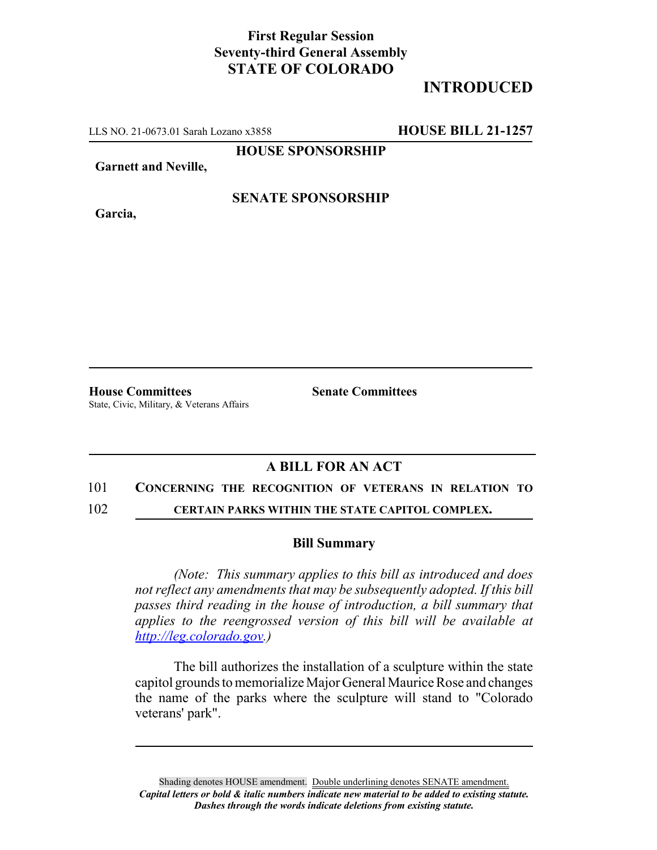## **First Regular Session Seventy-third General Assembly STATE OF COLORADO**

# **INTRODUCED**

LLS NO. 21-0673.01 Sarah Lozano x3858 **HOUSE BILL 21-1257**

**HOUSE SPONSORSHIP**

**Garnett and Neville,**

**Garcia,**

### **SENATE SPONSORSHIP**

**House Committees Senate Committees** State, Civic, Military, & Veterans Affairs

### **A BILL FOR AN ACT**

#### 101 **CONCERNING THE RECOGNITION OF VETERANS IN RELATION TO**

102 **CERTAIN PARKS WITHIN THE STATE CAPITOL COMPLEX.**

#### **Bill Summary**

*(Note: This summary applies to this bill as introduced and does not reflect any amendments that may be subsequently adopted. If this bill passes third reading in the house of introduction, a bill summary that applies to the reengrossed version of this bill will be available at http://leg.colorado.gov.)*

The bill authorizes the installation of a sculpture within the state capitol grounds to memorialize Major General Maurice Rose and changes the name of the parks where the sculpture will stand to "Colorado veterans' park".

Shading denotes HOUSE amendment. Double underlining denotes SENATE amendment. *Capital letters or bold & italic numbers indicate new material to be added to existing statute. Dashes through the words indicate deletions from existing statute.*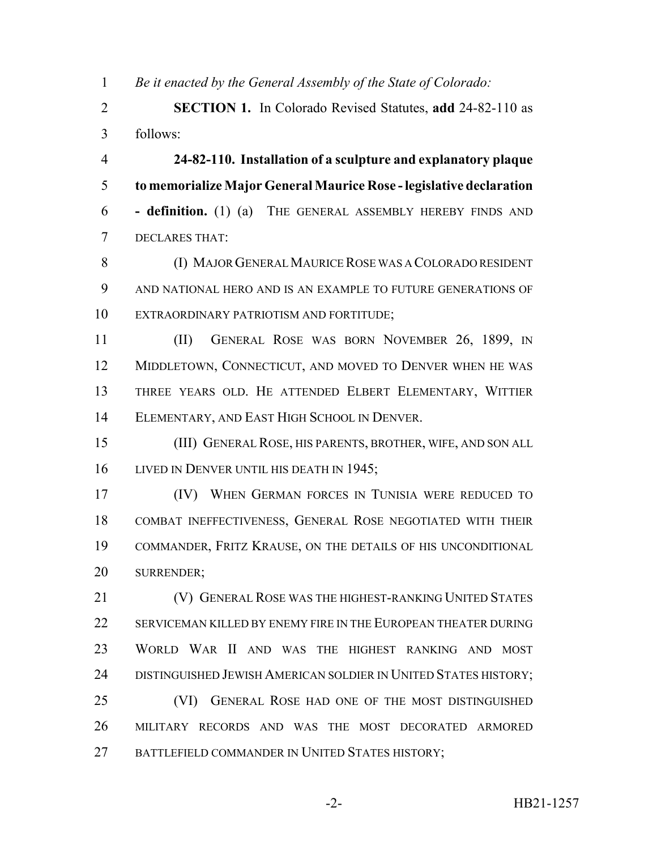*Be it enacted by the General Assembly of the State of Colorado:*

 **SECTION 1.** In Colorado Revised Statutes, **add** 24-82-110 as follows:

 **24-82-110. Installation of a sculpture and explanatory plaque to memorialize Major General Maurice Rose - legislative declaration - definition.** (1) (a) THE GENERAL ASSEMBLY HEREBY FINDS AND DECLARES THAT:

 (I) MAJOR GENERAL MAURICE ROSE WAS A COLORADO RESIDENT AND NATIONAL HERO AND IS AN EXAMPLE TO FUTURE GENERATIONS OF EXTRAORDINARY PATRIOTISM AND FORTITUDE;

 (II) GENERAL ROSE WAS BORN NOVEMBER 26, 1899, IN 12 MIDDLETOWN, CONNECTICUT, AND MOVED TO DENVER WHEN HE WAS THREE YEARS OLD. HE ATTENDED ELBERT ELEMENTARY, WITTIER ELEMENTARY, AND EAST HIGH SCHOOL IN DENVER.

 (III) GENERAL ROSE, HIS PARENTS, BROTHER, WIFE, AND SON ALL 16 LIVED IN DENVER UNTIL HIS DEATH IN 1945;

 (IV) WHEN GERMAN FORCES IN TUNISIA WERE REDUCED TO COMBAT INEFFECTIVENESS, GENERAL ROSE NEGOTIATED WITH THEIR COMMANDER, FRITZ KRAUSE, ON THE DETAILS OF HIS UNCONDITIONAL SURRENDER;

**(V) GENERAL ROSE WAS THE HIGHEST-RANKING UNITED STATES** 22 SERVICEMAN KILLED BY ENEMY FIRE IN THE EUROPEAN THEATER DURING WORLD WAR II AND WAS THE HIGHEST RANKING AND MOST DISTINGUISHED JEWISH AMERICAN SOLDIER IN UNITED STATES HISTORY; (VI) GENERAL ROSE HAD ONE OF THE MOST DISTINGUISHED MILITARY RECORDS AND WAS THE MOST DECORATED ARMORED

27 BATTLEFIELD COMMANDER IN UNITED STATES HISTORY;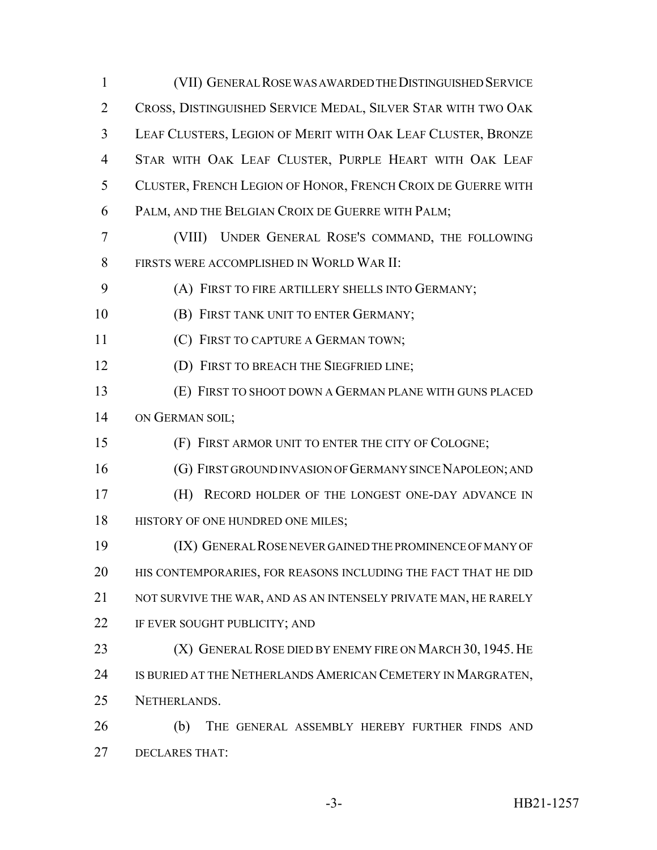(VII) GENERAL ROSE WAS AWARDED THE DISTINGUISHED SERVICE CROSS, DISTINGUISHED SERVICE MEDAL, SILVER STAR WITH TWO OAK LEAF CLUSTERS, LEGION OF MERIT WITH OAK LEAF CLUSTER, BRONZE STAR WITH OAK LEAF CLUSTER, PURPLE HEART WITH OAK LEAF CLUSTER, FRENCH LEGION OF HONOR, FRENCH CROIX DE GUERRE WITH PALM, AND THE BELGIAN CROIX DE GUERRE WITH PALM; (VIII) UNDER GENERAL ROSE'S COMMAND, THE FOLLOWING FIRSTS WERE ACCOMPLISHED IN WORLD WAR II: (A) FIRST TO FIRE ARTILLERY SHELLS INTO GERMANY; **(B) FIRST TANK UNIT TO ENTER GERMANY; (C) FIRST TO CAPTURE A GERMAN TOWN;** 12 (D) FIRST TO BREACH THE SIEGFRIED LINE; (E) FIRST TO SHOOT DOWN A GERMAN PLANE WITH GUNS PLACED 14 ON GERMAN SOIL; (F) FIRST ARMOR UNIT TO ENTER THE CITY OF COLOGNE; (G) FIRST GROUND INVASION OF GERMANY SINCE NAPOLEON; AND (H) RECORD HOLDER OF THE LONGEST ONE-DAY ADVANCE IN 18 HISTORY OF ONE HUNDRED ONE MILES; (IX) GENERAL ROSE NEVER GAINED THE PROMINENCE OF MANY OF HIS CONTEMPORARIES, FOR REASONS INCLUDING THE FACT THAT HE DID NOT SURVIVE THE WAR, AND AS AN INTENSELY PRIVATE MAN, HE RARELY IF EVER SOUGHT PUBLICITY; AND **(X) GENERAL ROSE DIED BY ENEMY FIRE ON MARCH 30, 1945. HE** 24 IS BURIED AT THE NETHERLANDS AMERICAN CEMETERY IN MARGRATEN, NETHERLANDS. (b) THE GENERAL ASSEMBLY HEREBY FURTHER FINDS AND

DECLARES THAT: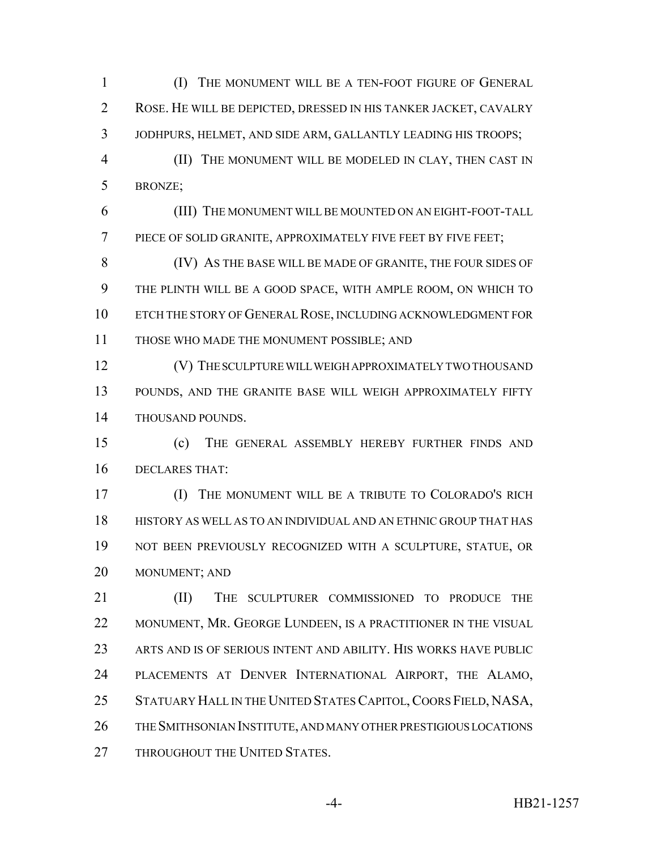(I) THE MONUMENT WILL BE A TEN-FOOT FIGURE OF GENERAL ROSE. HE WILL BE DEPICTED, DRESSED IN HIS TANKER JACKET, CAVALRY JODHPURS, HELMET, AND SIDE ARM, GALLANTLY LEADING HIS TROOPS;

 (II) THE MONUMENT WILL BE MODELED IN CLAY, THEN CAST IN BRONZE;

 (III) THE MONUMENT WILL BE MOUNTED ON AN EIGHT-FOOT-TALL PIECE OF SOLID GRANITE, APPROXIMATELY FIVE FEET BY FIVE FEET;

 (IV) AS THE BASE WILL BE MADE OF GRANITE, THE FOUR SIDES OF THE PLINTH WILL BE A GOOD SPACE, WITH AMPLE ROOM, ON WHICH TO ETCH THE STORY OF GENERAL ROSE, INCLUDING ACKNOWLEDGMENT FOR THOSE WHO MADE THE MONUMENT POSSIBLE; AND

**(V) THE SCULPTURE WILL WEIGH APPROXIMATELY TWO THOUSAND**  POUNDS, AND THE GRANITE BASE WILL WEIGH APPROXIMATELY FIFTY THOUSAND POUNDS.

 (c) THE GENERAL ASSEMBLY HEREBY FURTHER FINDS AND DECLARES THAT:

 (I) THE MONUMENT WILL BE A TRIBUTE TO COLORADO'S RICH HISTORY AS WELL AS TO AN INDIVIDUAL AND AN ETHNIC GROUP THAT HAS NOT BEEN PREVIOUSLY RECOGNIZED WITH A SCULPTURE, STATUE, OR MONUMENT; AND

**III)** THE SCULPTURER COMMISSIONED TO PRODUCE THE 22 MONUMENT, MR. GEORGE LUNDEEN, IS A PRACTITIONER IN THE VISUAL ARTS AND IS OF SERIOUS INTENT AND ABILITY. HIS WORKS HAVE PUBLIC PLACEMENTS AT DENVER INTERNATIONAL AIRPORT, THE ALAMO, STATUARY HALL IN THE UNITED STATES CAPITOL,COORS FIELD, NASA, THE SMITHSONIAN INSTITUTE, AND MANY OTHER PRESTIGIOUS LOCATIONS 27 THROUGHOUT THE UNITED STATES.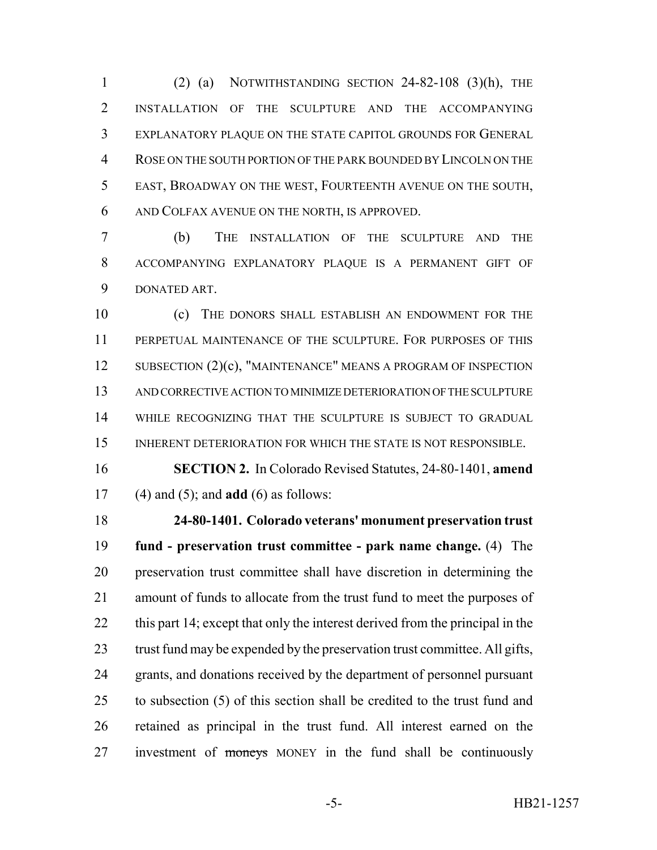(2) (a) NOTWITHSTANDING SECTION 24-82-108 (3)(h), THE INSTALLATION OF THE SCULPTURE AND THE ACCOMPANYING EXPLANATORY PLAQUE ON THE STATE CAPITOL GROUNDS FOR GENERAL ROSE ON THE SOUTH PORTION OF THE PARK BOUNDED BY LINCOLN ON THE EAST, BROADWAY ON THE WEST, FOURTEENTH AVENUE ON THE SOUTH, AND COLFAX AVENUE ON THE NORTH, IS APPROVED.

 (b) THE INSTALLATION OF THE SCULPTURE AND THE ACCOMPANYING EXPLANATORY PLAQUE IS A PERMANENT GIFT OF DONATED ART.

 (c) THE DONORS SHALL ESTABLISH AN ENDOWMENT FOR THE PERPETUAL MAINTENANCE OF THE SCULPTURE. FOR PURPOSES OF THIS 12 SUBSECTION (2)(c), "MAINTENANCE" MEANS A PROGRAM OF INSPECTION AND CORRECTIVE ACTION TO MINIMIZE DETERIORATION OF THE SCULPTURE WHILE RECOGNIZING THAT THE SCULPTURE IS SUBJECT TO GRADUAL 15 INHERENT DETERIORATION FOR WHICH THE STATE IS NOT RESPONSIBLE.

 **SECTION 2.** In Colorado Revised Statutes, 24-80-1401, **amend** (4) and (5); and **add** (6) as follows:

 **24-80-1401. Colorado veterans' monument preservation trust fund - preservation trust committee - park name change.** (4) The preservation trust committee shall have discretion in determining the amount of funds to allocate from the trust fund to meet the purposes of 22 this part 14; except that only the interest derived from the principal in the 23 trust fund may be expended by the preservation trust committee. All gifts, grants, and donations received by the department of personnel pursuant to subsection (5) of this section shall be credited to the trust fund and retained as principal in the trust fund. All interest earned on the 27 investment of moneys MONEY in the fund shall be continuously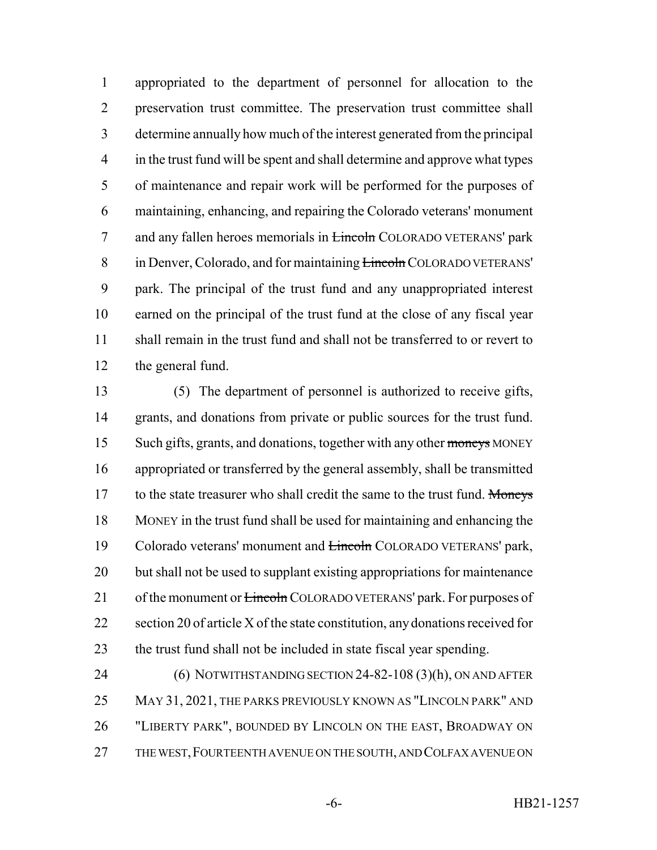appropriated to the department of personnel for allocation to the preservation trust committee. The preservation trust committee shall determine annually how much of the interest generated from the principal in the trust fund will be spent and shall determine and approve what types of maintenance and repair work will be performed for the purposes of maintaining, enhancing, and repairing the Colorado veterans' monument 7 and any fallen heroes memorials in **Lincoln** COLORADO VETERANS' park 8 in Denver, Colorado, and for maintaining **Lincoln** COLORADO VETERANS' park. The principal of the trust fund and any unappropriated interest earned on the principal of the trust fund at the close of any fiscal year shall remain in the trust fund and shall not be transferred to or revert to the general fund.

 (5) The department of personnel is authorized to receive gifts, 14 grants, and donations from private or public sources for the trust fund. 15 Such gifts, grants, and donations, together with any other moneys MONEY appropriated or transferred by the general assembly, shall be transmitted 17 to the state treasurer who shall credit the same to the trust fund. Moneys MONEY in the trust fund shall be used for maintaining and enhancing the 19 Colorado veterans' monument and **Lincoln** COLORADO VETERANS' park, but shall not be used to supplant existing appropriations for maintenance 21 of the monument or <del>Lincoln</del> COLORADO VETERANS' park. For purposes of 22 section 20 of article X of the state constitution, any donations received for the trust fund shall not be included in state fiscal year spending.

 (6) NOTWITHSTANDING SECTION 24-82-108 (3)(h), ON AND AFTER MAY 31, 2021, THE PARKS PREVIOUSLY KNOWN AS "LINCOLN PARK" AND "LIBERTY PARK", BOUNDED BY LINCOLN ON THE EAST, BROADWAY ON THE WEST,FOURTEENTH AVENUE ON THE SOUTH, AND COLFAX AVENUE ON